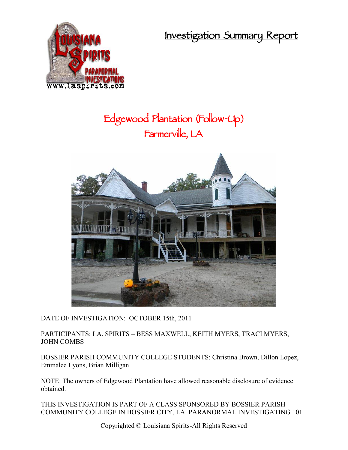**Investigation Summary Report**



# **Edgewood Plantation (Follow-Up) Farmerville, LA**



DATE OF INVESTIGATION: OCTOBER 15th, 2011

PARTICIPANTS: LA. SPIRITS – BESS MAXWELL, KEITH MYERS, TRACI MYERS, JOHN COMBS

BOSSIER PARISH COMMUNITY COLLEGE STUDENTS: Christina Brown, Dillon Lopez, Emmalee Lyons, Brian Milligan

NOTE: The owners of Edgewood Plantation have allowed reasonable disclosure of evidence obtained.

THIS INVESTIGATION IS PART OF A CLASS SPONSORED BY BOSSIER PARISH COMMUNITY COLLEGE IN BOSSIER CITY, LA. PARANORMAL INVESTIGATING 101

Copyrighted © Louisiana Spirits-All Rights Reserved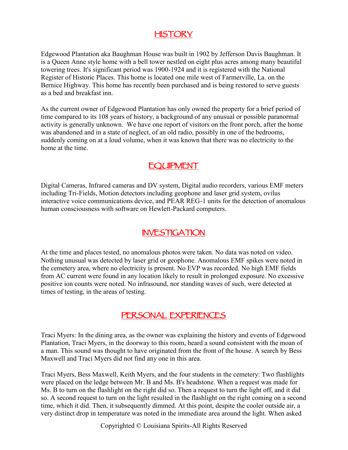### **HISTORY**

Edgewood Plantation aka Baughman House was built in 1902 by Jefferson Davis Baughman. It is a Queen Anne style home with a bell tower nestled on eight plus acres among many beautiful towering trees. It's significant period was 1900-1924 and it is registered with the National Register of Historic Places. This home is located one mile west of Farmerville, La. on the Bernice Highway. This home has recently been purchased and is being restored to serve guests as a bed and breakfast inn.

As the current owner of Edgewood Plantation has only owned the property for a brief period of time compared to its 108 years of history, a background of any unusual or possible paranormal activity is generally unknown. We have one report of visitors on the front porch, after the home was abandoned and in a state of neglect, of an old radio, possibly in one of the bedrooms, suddenly coming on at a loud volume, when it was known that there was no electricity to the home at the time.

#### **EQUIPMENT**

Digital Cameras, Infrared cameras and DV system, Digital audio recorders, various EMF meters including Tri-Fields, Motion detectors including geophone and laser grid system, ovilus interactive voice communications device, and PEAR REG-1 units for the detection of anomalous human consciousness with software on Hewlett-Packard computers.

#### **INVESTIGATION**

At the time and places tested, no anomalous photos were taken. No data was noted on video. Nothing unusual was detected by laser grid or geophone. Anomalous EMF spikes were noted in the cemetery area, where no electricity is present. No EVP was recorded. No high EMF fields from AC current were found in any location likely to result in prolonged exposure. No excessive positive ion counts were noted. No infrasound, nor standing waves of such, were detected at times of testing, in the areas of testing.

#### **PERSONAL EXPERIENCES**

Traci Myers: In the dining area, as the owner was explaining the history and events of Edgewood Plantation, Traci Myers, in the doorway to this room, heard a sound consistent with the moan of a man. This sound was thought to have originated from the front of the house. A search by Bess Maxwell and Traci Myers did not find any one in this area.

Traci Myers, Bess Maxwell, Keith Myers, and the four students in the cemetery: Two flashlights were placed on the ledge between Mr. B and Ms. B's headstone. When a request was made for Ms. B to turn on the flashlight on the right did so. Then a request to turn the light off, and it did so. A second request to turn on the light resulted in the flashlight on the right coming on a second time, which it did. Then, it subsequently dimmed. At this point, despite the cooler outside air, a very distinct drop in temperature was noted in the immediate area around the light. When asked

Copyrighted © Louisiana Spirits-All Rights Reserved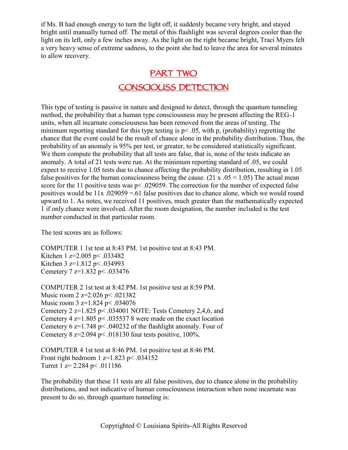if Ms. B had enough energy to turn the light off, it suddenly became very bright, and stayed bright until manually turned off. The metal of this flashlight was several degrees cooler than the light on its left, only a few inches away. As the light on the right became bright, Traci Myers felt a very heavy sense of extreme sadness, to the point she had to leave the area for several minutes to allow recovery.

## **PART TWO CONSCIOUSS DETECTION**

This type of testing is passive in nature and designed to detect, through the quantum tunneling method, the probability that a human type consciousness may be present affecting the REG-1 units, when all incarnate consciousness has been removed from the areas of testing. The minimum reporting standard for this type testing is  $p<.05$ , with p, (probability) regretting the chance that the event could be the result of chance alone in the probability distribution. Thus, the probability of an anomaly is 95% per test, or greater, to be considered statistically significant. We them compute the probability that all tests are false, that is, none of the tests indicate an anomaly. A total of 21 tests were run. At the minimum reporting standard of .05, we could expect to receive 1.05 tests due to chance affecting the probability distribution, resulting in 1.05 false positives for the human consciousness being the cause. (21 x  $.05 = 1.05$ ) The actual mean score for the 11 positive tests was p< .029059. The correction for the number of expected false positives would be  $11x$  .029059 = .61 false positives due to chance alone, which we would round upward to 1. As notes, we received 11 positives, much greater than the mathematically expected 1 if only chance were involved. After the room designation, the number included is the test number conducted in that particular room.

The test scores are as follows:

COMPUTER 1 1st test at 8:43 PM. 1st positive test at 8:43 PM. Kitchen 1 z=2.005 p< .033482 Kitchen 3 z=1.812 p< .034993 Cemetery 7 z=1.832 p< .033476

COMPUTER 2 1st test at 8:42 PM. 1st positive test at 8:59 PM. Music room 2 z=2.026 p< .021382 Music room 3 z=1.824 p < .034076 Cemetery 2 z=1.825 p< .034001 NOTE: Tests Cemetery 2,4,6, and Cemetery 4  $z=1.805$  p< .035537 8 were made on the exact location Cemetery 6 z=1.748 p< .040232 of the flashlight anomaly. Four of Cemetery 8 z=2.094 p< .018130 four tests positive, 100%.

COMPUTER 4 1st test at 8:46 PM. 1st positive test at 8:46 PM. Front right bedroom 1  $z=1.823$  p $\leq 0.034152$ Turret 1 z=  $2.284$  p  $\leq$  011186

The probability that these 11 tests are all false positives, due to chance alone in the probability distributions, and not indicative of human consciousness interaction when none incarnate was present to do so, through quantum tunneling is: